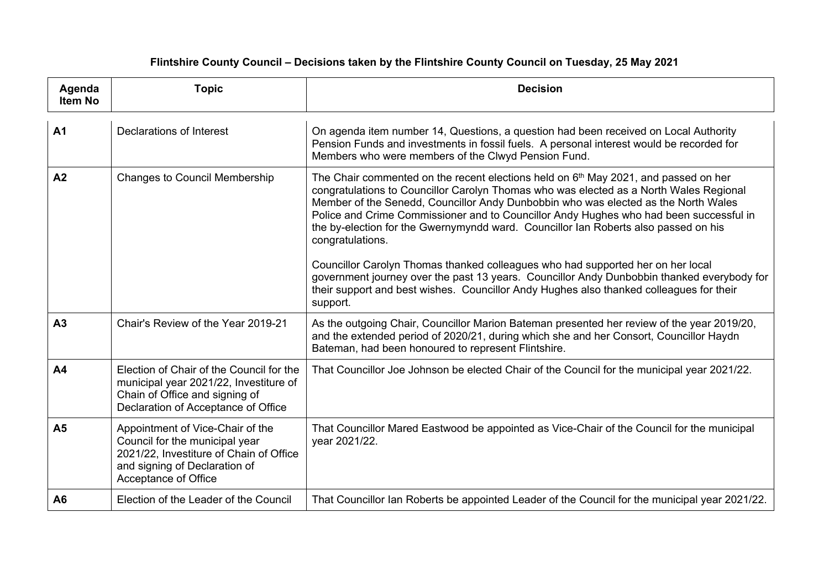| Agenda<br><b>Item No</b> | <b>Topic</b>                                                                                                                                                           | <b>Decision</b>                                                                                                                                                                                                                                                                                                                                                                                                                                                                                                                                                                                                                                                       |
|--------------------------|------------------------------------------------------------------------------------------------------------------------------------------------------------------------|-----------------------------------------------------------------------------------------------------------------------------------------------------------------------------------------------------------------------------------------------------------------------------------------------------------------------------------------------------------------------------------------------------------------------------------------------------------------------------------------------------------------------------------------------------------------------------------------------------------------------------------------------------------------------|
| A <sub>1</sub>           | <b>Declarations of Interest</b>                                                                                                                                        | On agenda item number 14, Questions, a question had been received on Local Authority<br>Pension Funds and investments in fossil fuels. A personal interest would be recorded for<br>Members who were members of the Clwyd Pension Fund.                                                                                                                                                                                                                                                                                                                                                                                                                               |
| A2                       | <b>Changes to Council Membership</b>                                                                                                                                   | The Chair commented on the recent elections held on 6 <sup>th</sup> May 2021, and passed on her<br>congratulations to Councillor Carolyn Thomas who was elected as a North Wales Regional<br>Member of the Senedd, Councillor Andy Dunbobbin who was elected as the North Wales<br>Police and Crime Commissioner and to Councillor Andy Hughes who had been successful in<br>the by-election for the Gwernymyndd ward. Councillor Ian Roberts also passed on his<br>congratulations.<br>Councillor Carolyn Thomas thanked colleagues who had supported her on her local<br>government journey over the past 13 years. Councillor Andy Dunbobbin thanked everybody for |
|                          |                                                                                                                                                                        | their support and best wishes. Councillor Andy Hughes also thanked colleagues for their<br>support.                                                                                                                                                                                                                                                                                                                                                                                                                                                                                                                                                                   |
| A <sub>3</sub>           | Chair's Review of the Year 2019-21                                                                                                                                     | As the outgoing Chair, Councillor Marion Bateman presented her review of the year 2019/20,<br>and the extended period of 2020/21, during which she and her Consort, Councillor Haydn<br>Bateman, had been honoured to represent Flintshire.                                                                                                                                                                                                                                                                                                                                                                                                                           |
| A <sub>4</sub>           | Election of Chair of the Council for the<br>municipal year 2021/22, Investiture of<br>Chain of Office and signing of<br>Declaration of Acceptance of Office            | That Councillor Joe Johnson be elected Chair of the Council for the municipal year 2021/22.                                                                                                                                                                                                                                                                                                                                                                                                                                                                                                                                                                           |
| A <sub>5</sub>           | Appointment of Vice-Chair of the<br>Council for the municipal year<br>2021/22, Investiture of Chain of Office<br>and signing of Declaration of<br>Acceptance of Office | That Councillor Mared Eastwood be appointed as Vice-Chair of the Council for the municipal<br>year 2021/22.                                                                                                                                                                                                                                                                                                                                                                                                                                                                                                                                                           |
| A <sub>6</sub>           | Election of the Leader of the Council                                                                                                                                  | That Councillor Ian Roberts be appointed Leader of the Council for the municipal year 2021/22.                                                                                                                                                                                                                                                                                                                                                                                                                                                                                                                                                                        |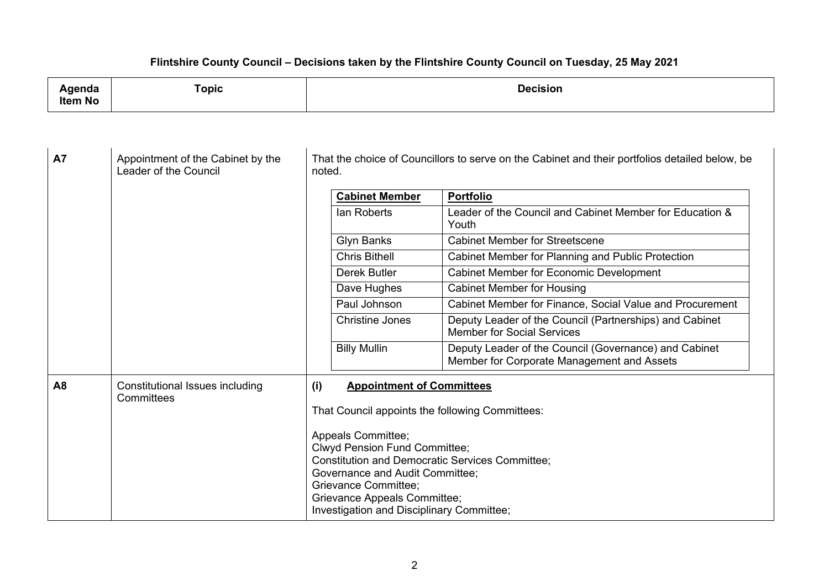| Agenda<br><b>Item No</b> | <b>Topic</b>                                         | <b>Decision</b>                                                                                          |                                                                                                                                                                                                                                                                            |                                                                                                     |
|--------------------------|------------------------------------------------------|----------------------------------------------------------------------------------------------------------|----------------------------------------------------------------------------------------------------------------------------------------------------------------------------------------------------------------------------------------------------------------------------|-----------------------------------------------------------------------------------------------------|
| <b>A7</b>                | Appointment of the Cabinet by the                    |                                                                                                          |                                                                                                                                                                                                                                                                            |                                                                                                     |
|                          | Leader of the Council                                | That the choice of Councillors to serve on the Cabinet and their portfolios detailed below, be<br>noted. |                                                                                                                                                                                                                                                                            |                                                                                                     |
|                          |                                                      | <b>Cabinet Member</b>                                                                                    |                                                                                                                                                                                                                                                                            | <b>Portfolio</b>                                                                                    |
|                          |                                                      | <b>lan Roberts</b>                                                                                       |                                                                                                                                                                                                                                                                            | Leader of the Council and Cabinet Member for Education &<br>Youth                                   |
|                          |                                                      | <b>Glyn Banks</b>                                                                                        |                                                                                                                                                                                                                                                                            | <b>Cabinet Member for Streetscene</b>                                                               |
|                          |                                                      | <b>Chris Bithell</b>                                                                                     |                                                                                                                                                                                                                                                                            | Cabinet Member for Planning and Public Protection                                                   |
|                          |                                                      | <b>Derek Butler</b>                                                                                      |                                                                                                                                                                                                                                                                            | <b>Cabinet Member for Economic Development</b>                                                      |
|                          |                                                      | Dave Hughes                                                                                              |                                                                                                                                                                                                                                                                            | <b>Cabinet Member for Housing</b>                                                                   |
|                          |                                                      | Paul Johnson                                                                                             |                                                                                                                                                                                                                                                                            | Cabinet Member for Finance, Social Value and Procurement                                            |
|                          |                                                      | <b>Christine Jones</b>                                                                                   |                                                                                                                                                                                                                                                                            | Deputy Leader of the Council (Partnerships) and Cabinet<br><b>Member for Social Services</b>        |
|                          |                                                      | <b>Billy Mullin</b>                                                                                      |                                                                                                                                                                                                                                                                            | Deputy Leader of the Council (Governance) and Cabinet<br>Member for Corporate Management and Assets |
| A8                       | <b>Constitutional Issues including</b><br>Committees | (i)<br><b>Appointment of Committees</b><br>That Council appoints the following Committees:               |                                                                                                                                                                                                                                                                            |                                                                                                     |
|                          |                                                      |                                                                                                          | Appeals Committee;<br><b>Clwyd Pension Fund Committee;</b><br><b>Constitution and Democratic Services Committee;</b><br>Governance and Audit Committee;<br><b>Grievance Committee;</b><br><b>Grievance Appeals Committee;</b><br>Investigation and Disciplinary Committee; |                                                                                                     |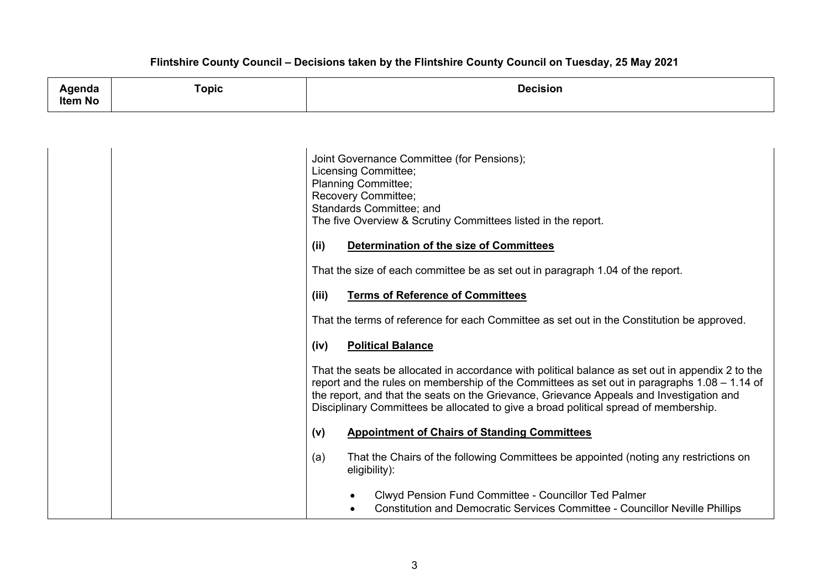| .<br>nua | `opic | Decisior<br>sıor<br>. |
|----------|-------|-----------------------|
| Item No  |       |                       |

| Joint Governance Committee (for Pensions);<br>Licensing Committee;<br><b>Planning Committee;</b><br>Recovery Committee;<br>Standards Committee; and<br>The five Overview & Scrutiny Committees listed in the report.                                                                                                                                                                 |
|--------------------------------------------------------------------------------------------------------------------------------------------------------------------------------------------------------------------------------------------------------------------------------------------------------------------------------------------------------------------------------------|
| (ii)<br>Determination of the size of Committees                                                                                                                                                                                                                                                                                                                                      |
| That the size of each committee be as set out in paragraph 1.04 of the report.                                                                                                                                                                                                                                                                                                       |
| (iii)<br><b>Terms of Reference of Committees</b>                                                                                                                                                                                                                                                                                                                                     |
| That the terms of reference for each Committee as set out in the Constitution be approved.                                                                                                                                                                                                                                                                                           |
| <b>Political Balance</b><br>(iv)                                                                                                                                                                                                                                                                                                                                                     |
| That the seats be allocated in accordance with political balance as set out in appendix 2 to the<br>report and the rules on membership of the Committees as set out in paragraphs 1.08 – 1.14 of<br>the report, and that the seats on the Grievance, Grievance Appeals and Investigation and<br>Disciplinary Committees be allocated to give a broad political spread of membership. |
| (v)<br><b>Appointment of Chairs of Standing Committees</b>                                                                                                                                                                                                                                                                                                                           |
| That the Chairs of the following Committees be appointed (noting any restrictions on<br>(a)<br>eligibility):                                                                                                                                                                                                                                                                         |
| Clwyd Pension Fund Committee - Councillor Ted Palmer<br>Constitution and Democratic Services Committee - Councillor Neville Phillips                                                                                                                                                                                                                                                 |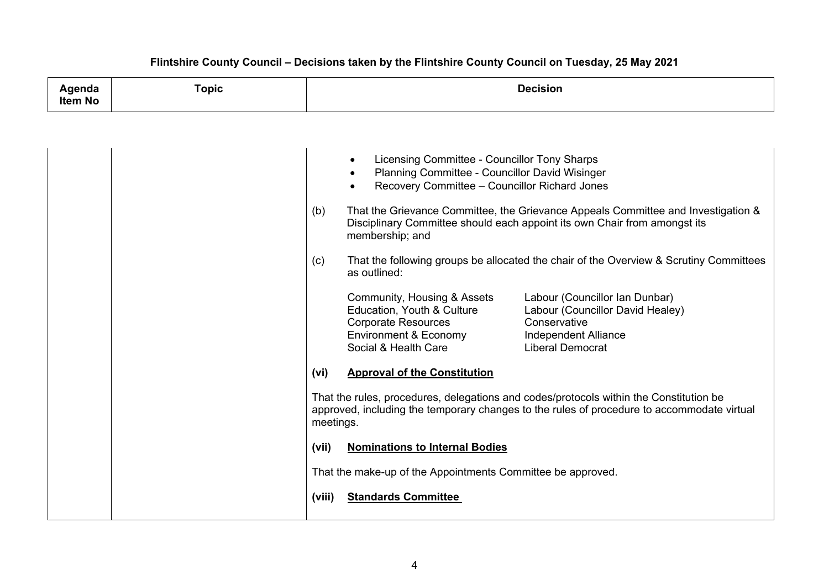| Agenda<br><b>Item No</b> | <b>Topic</b> | <b>Decision</b>                                                                                                                                                                                                                                                                                     |  |  |
|--------------------------|--------------|-----------------------------------------------------------------------------------------------------------------------------------------------------------------------------------------------------------------------------------------------------------------------------------------------------|--|--|
|                          |              |                                                                                                                                                                                                                                                                                                     |  |  |
|                          |              | Licensing Committee - Councillor Tony Sharps<br>$\bullet$<br>Planning Committee - Councillor David Wisinger<br>Recovery Committee - Councillor Richard Jones<br>$\bullet$                                                                                                                           |  |  |
|                          |              | That the Grievance Committee, the Grievance Appeals Committee and Investigation &<br>(b)<br>Disciplinary Committee should each appoint its own Chair from amongst its<br>membership; and                                                                                                            |  |  |
|                          |              | (c)<br>That the following groups be allocated the chair of the Overview & Scrutiny Committees<br>as outlined:                                                                                                                                                                                       |  |  |
|                          |              | Community, Housing & Assets<br>Labour (Councillor Ian Dunbar)<br>Education, Youth & Culture<br>Labour (Councillor David Healey)<br><b>Corporate Resources</b><br>Conservative<br><b>Environment &amp; Economy</b><br><b>Independent Alliance</b><br>Social & Health Care<br><b>Liberal Democrat</b> |  |  |
|                          |              | (vi)<br><b>Approval of the Constitution</b>                                                                                                                                                                                                                                                         |  |  |
|                          |              | That the rules, procedures, delegations and codes/protocols within the Constitution be<br>approved, including the temporary changes to the rules of procedure to accommodate virtual<br>meetings.                                                                                                   |  |  |
|                          |              | <b>Nominations to Internal Bodies</b><br>(vii)                                                                                                                                                                                                                                                      |  |  |
|                          |              | That the make-up of the Appointments Committee be approved.                                                                                                                                                                                                                                         |  |  |
|                          |              | <b>Standards Committee</b><br>(viii)                                                                                                                                                                                                                                                                |  |  |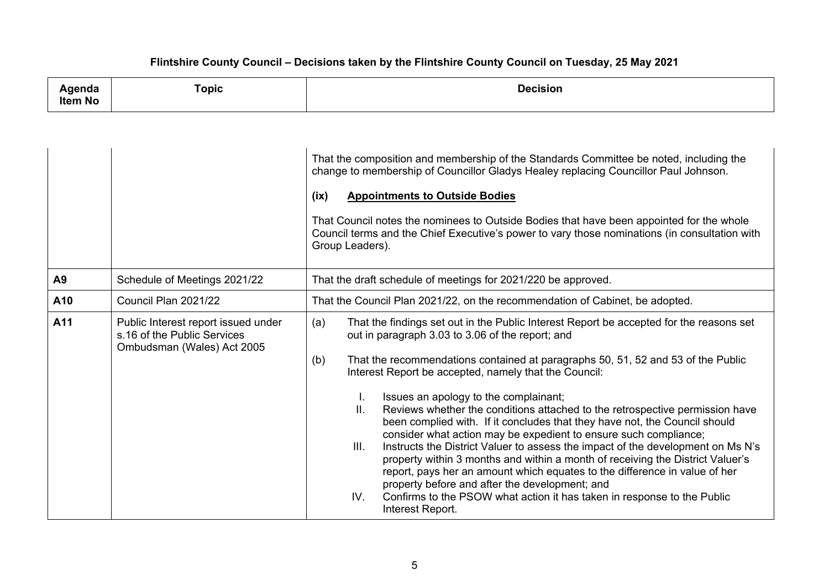| ша<br>Item No | ⊺opic<br>and the contract of the contract of the contract of the contract of the contract of the contract of the contract of | 100inian |
|---------------|------------------------------------------------------------------------------------------------------------------------------|----------|
|               |                                                                                                                              |          |

|     |                                                                                                  | That the composition and membership of the Standards Committee be noted, including the<br>change to membership of Councillor Gladys Healey replacing Councillor Paul Johnson.<br><b>Appointments to Outside Bodies</b><br>(ix)<br>That Council notes the nominees to Outside Bodies that have been appointed for the whole<br>Council terms and the Chief Executive's power to vary those nominations (in consultation with<br>Group Leaders).                                                                                                                                                                                                                                                                                                                                                                                                                                                                                                                                                              |  |
|-----|--------------------------------------------------------------------------------------------------|-------------------------------------------------------------------------------------------------------------------------------------------------------------------------------------------------------------------------------------------------------------------------------------------------------------------------------------------------------------------------------------------------------------------------------------------------------------------------------------------------------------------------------------------------------------------------------------------------------------------------------------------------------------------------------------------------------------------------------------------------------------------------------------------------------------------------------------------------------------------------------------------------------------------------------------------------------------------------------------------------------------|--|
| A9  | Schedule of Meetings 2021/22                                                                     | That the draft schedule of meetings for 2021/220 be approved.                                                                                                                                                                                                                                                                                                                                                                                                                                                                                                                                                                                                                                                                                                                                                                                                                                                                                                                                               |  |
| A10 | Council Plan 2021/22                                                                             | That the Council Plan 2021/22, on the recommendation of Cabinet, be adopted.                                                                                                                                                                                                                                                                                                                                                                                                                                                                                                                                                                                                                                                                                                                                                                                                                                                                                                                                |  |
| A11 | Public Interest report issued under<br>s.16 of the Public Services<br>Ombudsman (Wales) Act 2005 | That the findings set out in the Public Interest Report be accepted for the reasons set<br>(a)<br>out in paragraph 3.03 to 3.06 of the report; and<br>That the recommendations contained at paragraphs 50, 51, 52 and 53 of the Public<br>(b)<br>Interest Report be accepted, namely that the Council:<br>Issues an apology to the complainant;<br>ΙΙ.<br>Reviews whether the conditions attached to the retrospective permission have<br>been complied with. If it concludes that they have not, the Council should<br>consider what action may be expedient to ensure such compliance;<br>Instructs the District Valuer to assess the impact of the development on Ms N's<br>III.<br>property within 3 months and within a month of receiving the District Valuer's<br>report, pays her an amount which equates to the difference in value of her<br>property before and after the development; and<br>IV.<br>Confirms to the PSOW what action it has taken in response to the Public<br>Interest Report. |  |